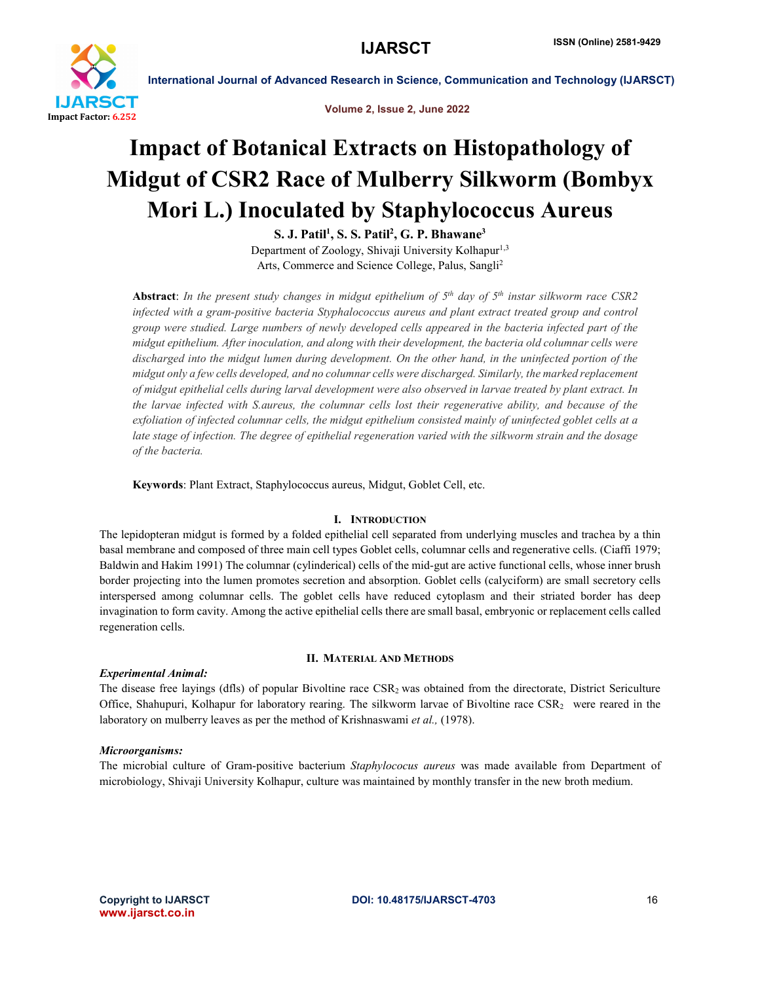

Volume 2, Issue 2, June 2022

## Impact of Botanical Extracts on Histopathology of Midgut of CSR2 Race of Mulberry Silkworm (Bombyx Mori L.) Inoculated by Staphylococcus Aureus

 $\mathrm{S.~J.~Patil^1,~S.~S.~Patil^2,~G.~P.~Bhawane^3}$ Department of Zoology, Shivaji University Kolhapur<sup>1,3</sup> Arts, Commerce and Science College, Palus, Sangli<sup>2</sup>

Abstract: *In the present study changes in midgut epithelium of 5th day of 5th instar silkworm race CSR2 infected with a gram-positive bacteria Styphalococcus aureus and plant extract treated group and control group were studied. Large numbers of newly developed cells appeared in the bacteria infected part of the midgut epithelium. After inoculation, and along with their development, the bacteria old columnar cells were discharged into the midgut lumen during development. On the other hand, in the uninfected portion of the midgut only a few cells developed, and no columnar cells were discharged. Similarly, the marked replacement of midgut epithelial cells during larval development were also observed in larvae treated by plant extract. In the larvae infected with S.aureus, the columnar cells lost their regenerative ability, and because of the exfoliation of infected columnar cells, the midgut epithelium consisted mainly of uninfected goblet cells at a late stage of infection. The degree of epithelial regeneration varied with the silkworm strain and the dosage of the bacteria.*

Keywords: Plant Extract, Staphylococcus aureus, Midgut, Goblet Cell, etc.

#### I. INTRODUCTION

The lepidopteran midgut is formed by a folded epithelial cell separated from underlying muscles and trachea by a thin basal membrane and composed of three main cell types Goblet cells, columnar cells and regenerative cells. (Ciaffi 1979; Baldwin and Hakim 1991) The columnar (cylinderical) cells of the mid-gut are active functional cells, whose inner brush border projecting into the lumen promotes secretion and absorption. Goblet cells (calyciform) are small secretory cells interspersed among columnar cells. The goblet cells have reduced cytoplasm and their striated border has deep invagination to form cavity. Among the active epithelial cells there are small basal, embryonic or replacement cells called regeneration cells.

#### *Experimental Animal:*

#### II. MATERIAL AND METHODS

The disease free layings (dfls) of popular Bivoltine race CSR<sub>2</sub> was obtained from the directorate, District Sericulture Office, Shahupuri, Kolhapur for laboratory rearing. The silkworm larvae of Bivoltine race CSR2 were reared in the laboratory on mulberry leaves as per the method of Krishnaswami *et al.,* (1978).

#### *Microorganisms:*

The microbial culture of Gram-positive bacterium *Staphylococus aureus* was made available from Department of microbiology, Shivaji University Kolhapur, culture was maintained by monthly transfer in the new broth medium.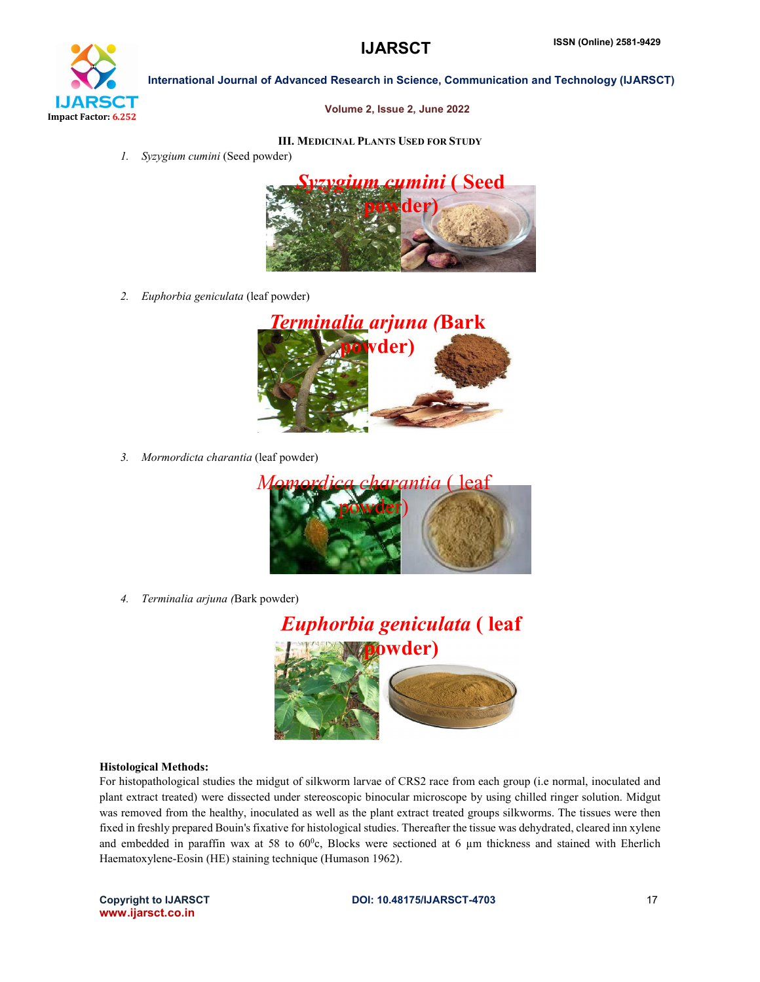# **IJARSCT** Impact Factor: 6.252

International Journal of Advanced Research in Science, Communication and Technology (IJARSCT)

#### Volume 2, Issue 2, June 2022

## III. MEDICINAL PLANTS USED FOR STUDY

*1. Syzygium cumini* (Seed powder)



*2. Euphorbia geniculata* (leaf powder)



*3. Mormordicta charantia* (leaf powder)



*4. Terminalia arjuna (*Bark powder)



#### Histological Methods:

For histopathological studies the midgut of silkworm larvae of CRS2 race from each group (i.e normal, inoculated and plant extract treated) were dissected under stereoscopic binocular microscope by using chilled ringer solution. Midgut was removed from the healthy, inoculated as well as the plant extract treated groups silkworms. The tissues were then fixed in freshly prepared Bouin's fixative for histological studies. Thereafter the tissue was dehydrated, cleared inn xylene and embedded in paraffin wax at 58 to  $60^{\circ}$ c, Blocks were sectioned at 6  $\mu$ m thickness and stained with Eherlich Haematoxylene-Eosin (HE) staining technique (Humason 1962).

www.ijarsct.co.in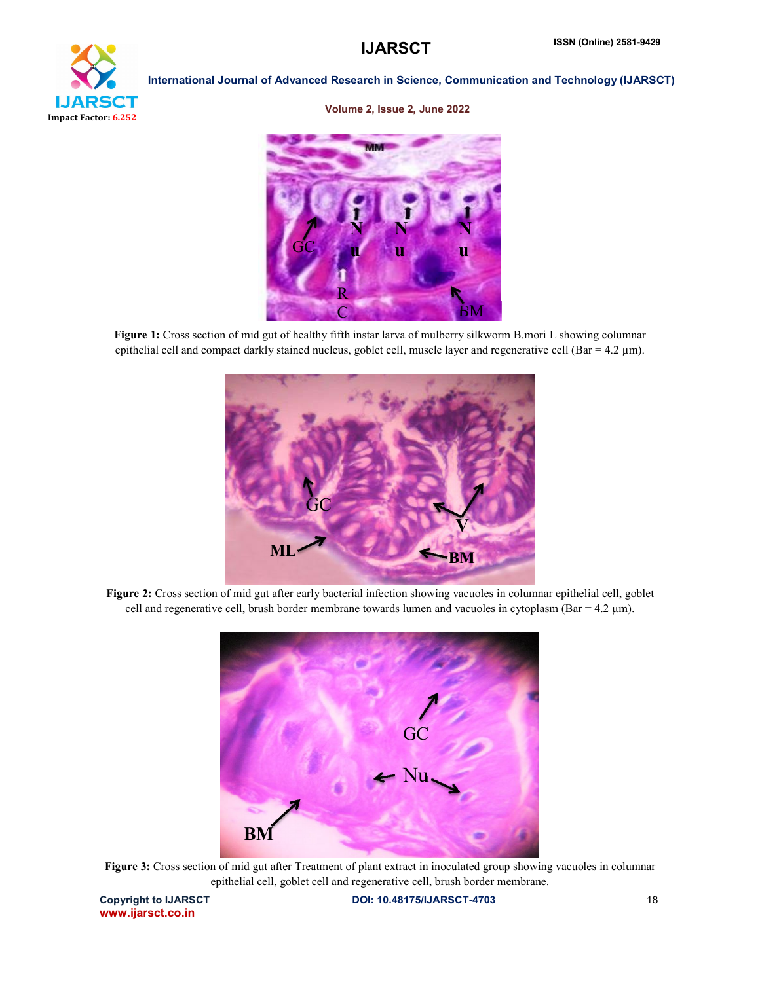

#### Volume 2, Issue 2, June 2022



Figure 1: Cross section of mid gut of healthy fifth instar larva of mulberry silkworm B.mori L showing columnar epithelial cell and compact darkly stained nucleus, goblet cell, muscle layer and regenerative cell (Bar =  $4.2 \mu m$ ).



Figure 2: Cross section of mid gut after early bacterial infection showing vacuoles in columnar epithelial cell, goblet cell and regenerative cell, brush border membrane towards lumen and vacuoles in cytoplasm (Bar =  $4.2 \mu m$ ).



Figure 3: Cross section of mid gut after Treatment of plant extract in inoculated group showing vacuoles in columnar epithelial cell, goblet cell and regenerative cell, brush border membrane.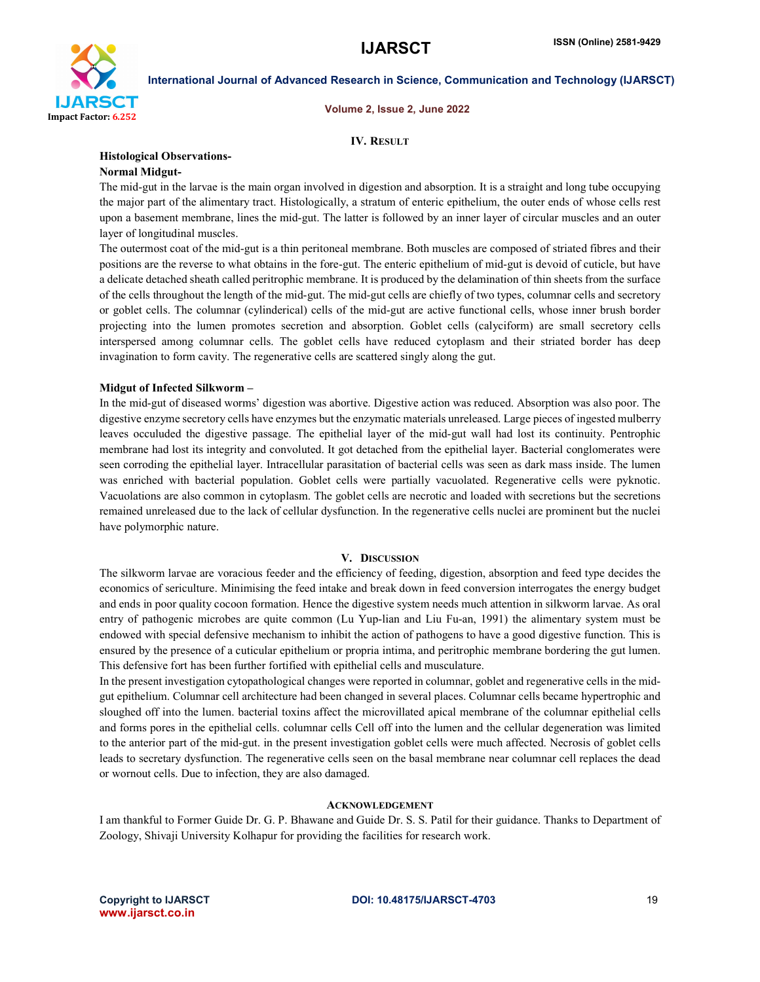

Volume 2, Issue 2, June 2022

#### IV. RESULT

#### Histological Observations-

## Normal Midgut-

The mid-gut in the larvae is the main organ involved in digestion and absorption. It is a straight and long tube occupying the major part of the alimentary tract. Histologically, a stratum of enteric epithelium, the outer ends of whose cells rest upon a basement membrane, lines the mid-gut. The latter is followed by an inner layer of circular muscles and an outer layer of longitudinal muscles.

The outermost coat of the mid-gut is a thin peritoneal membrane. Both muscles are composed of striated fibres and their positions are the reverse to what obtains in the fore-gut. The enteric epithelium of mid-gut is devoid of cuticle, but have a delicate detached sheath called peritrophic membrane. It is produced by the delamination of thin sheets from the surface of the cells throughout the length of the mid-gut. The mid-gut cells are chiefly of two types, columnar cells and secretory or goblet cells. The columnar (cylinderical) cells of the mid-gut are active functional cells, whose inner brush border projecting into the lumen promotes secretion and absorption. Goblet cells (calyciform) are small secretory cells interspersed among columnar cells. The goblet cells have reduced cytoplasm and their striated border has deep invagination to form cavity. The regenerative cells are scattered singly along the gut.

#### Midgut of Infected Silkworm –

In the mid-gut of diseased worms' digestion was abortive. Digestive action was reduced. Absorption was also poor. The digestive enzyme secretory cells have enzymes but the enzymatic materials unreleased. Large pieces of ingested mulberry leaves occuluded the digestive passage. The epithelial layer of the mid-gut wall had lost its continuity. Pentrophic membrane had lost its integrity and convoluted. It got detached from the epithelial layer. Bacterial conglomerates were seen corroding the epithelial layer. Intracellular parasitation of bacterial cells was seen as dark mass inside. The lumen was enriched with bacterial population. Goblet cells were partially vacuolated. Regenerative cells were pyknotic. Vacuolations are also common in cytoplasm. The goblet cells are necrotic and loaded with secretions but the secretions remained unreleased due to the lack of cellular dysfunction. In the regenerative cells nuclei are prominent but the nuclei have polymorphic nature.

#### V. DISCUSSION

The silkworm larvae are voracious feeder and the efficiency of feeding, digestion, absorption and feed type decides the economics of sericulture. Minimising the feed intake and break down in feed conversion interrogates the energy budget and ends in poor quality cocoon formation. Hence the digestive system needs much attention in silkworm larvae. As oral entry of pathogenic microbes are quite common (Lu Yup-lian and Liu Fu-an, 1991) the alimentary system must be endowed with special defensive mechanism to inhibit the action of pathogens to have a good digestive function. This is ensured by the presence of a cuticular epithelium or propria intima, and peritrophic membrane bordering the gut lumen. This defensive fort has been further fortified with epithelial cells and musculature.

In the present investigation cytopathological changes were reported in columnar, goblet and regenerative cells in the midgut epithelium. Columnar cell architecture had been changed in several places. Columnar cells became hypertrophic and sloughed off into the lumen. bacterial toxins affect the microvillated apical membrane of the columnar epithelial cells and forms pores in the epithelial cells. columnar cells Cell off into the lumen and the cellular degeneration was limited to the anterior part of the mid-gut. in the present investigation goblet cells were much affected. Necrosis of goblet cells leads to secretary dysfunction. The regenerative cells seen on the basal membrane near columnar cell replaces the dead or wornout cells. Due to infection, they are also damaged.

#### ACKNOWLEDGEMENT

I am thankful to Former Guide Dr. G. P. Bhawane and Guide Dr. S. S. Patil for their guidance. Thanks to Department of Zoology, Shivaji University Kolhapur for providing the facilities for research work.